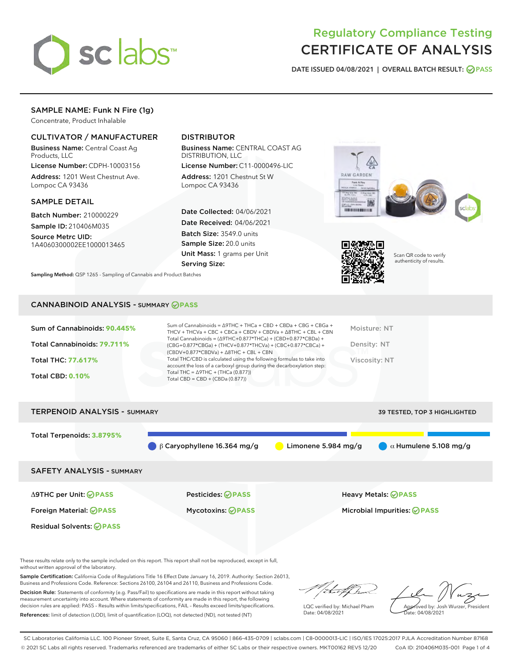

# Regulatory Compliance Testing CERTIFICATE OF ANALYSIS

DATE ISSUED 04/08/2021 | OVERALL BATCH RESULT: @ PASS

# SAMPLE NAME: Funk N Fire (1g)

Concentrate, Product Inhalable

## CULTIVATOR / MANUFACTURER

Business Name: Central Coast Ag Products, LLC

License Number: CDPH-10003156 Address: 1201 West Chestnut Ave. Lompoc CA 93436

#### SAMPLE DETAIL

Batch Number: 210000229 Sample ID: 210406M035

Source Metrc UID: 1A4060300002EE1000013465

# DISTRIBUTOR

Business Name: CENTRAL COAST AG DISTRIBUTION, LLC

License Number: C11-0000496-LIC Address: 1201 Chestnut St W Lompoc CA 93436

Date Collected: 04/06/2021 Date Received: 04/06/2021 Batch Size: 3549.0 units Sample Size: 20.0 units Unit Mass: 1 grams per Unit Serving Size:





Scan QR code to verify authenticity of results.

Sampling Method: QSP 1265 - Sampling of Cannabis and Product Batches

## CANNABINOID ANALYSIS - SUMMARY **PASS**

| Sum of Cannabinoids: 90.445%<br>Total Cannabinoids: 79.711%<br>Total THC: 77.617%<br><b>Total CBD: 0.10%</b> | Sum of Cannabinoids = $\triangle$ 9THC + THCa + CBD + CBDa + CBG + CBGa +<br>THCV + THCVa + CBC + CBCa + CBDV + CBDVa + $\Delta$ 8THC + CBL + CBN<br>Total Cannabinoids = $(\Delta 9THC+0.877*THCa) + (CBD+0.877*CBDa) +$<br>$(CBG+0.877*CBGa) + (THCV+0.877*THCVa) + (CBC+0.877*CBCa) +$<br>$(CBDV+0.877*CBDVa) + \Delta 8THC + CBL + CBN$<br>Total THC/CBD is calculated using the following formulas to take into<br>account the loss of a carboxyl group during the decarboxylation step:<br>Total THC = $\triangle$ 9THC + (THCa (0.877))<br>Total CBD = $CBD + (CBDa (0.877))$ | Moisture: NT<br>Density: NT<br>Viscosity: NT |
|--------------------------------------------------------------------------------------------------------------|--------------------------------------------------------------------------------------------------------------------------------------------------------------------------------------------------------------------------------------------------------------------------------------------------------------------------------------------------------------------------------------------------------------------------------------------------------------------------------------------------------------------------------------------------------------------------------------|----------------------------------------------|
| <b>TERPENOID ANALYSIS - SUMMARY</b>                                                                          |                                                                                                                                                                                                                                                                                                                                                                                                                                                                                                                                                                                      | <b>39 TESTED. TOP 3 HIGHLIGHTED</b>          |

Total Terpenoids: **3.8795% β Caryophyllene 16.364 mg/g a Limonene 5.984 mg/g a Aumulene 5.108 mg/g** SAFETY ANALYSIS - SUMMARY Δ9THC per Unit: **PASS** Pesticides: **PASS** Heavy Metals: **PASS** Foreign Material: **PASS** Mycotoxins: **PASS** Microbial Impurities: **PASS** Residual Solvents: **PASS** 

These results relate only to the sample included on this report. This report shall not be reproduced, except in full, without written approval of the laboratory.

Sample Certification: California Code of Regulations Title 16 Effect Date January 16, 2019. Authority: Section 26013, Business and Professions Code. Reference: Sections 26100, 26104 and 26110, Business and Professions Code.

Decision Rule: Statements of conformity (e.g. Pass/Fail) to specifications are made in this report without taking measurement uncertainty into account. Where statements of conformity are made in this report, the following decision rules are applied: PASS – Results within limits/specifications, FAIL – Results exceed limits/specifications. References: limit of detection (LOD), limit of quantification (LOQ), not detected (ND), not tested (NT)

that f Is

LQC verified by: Michael Pham Date: 04/08/2021

Approved by: Josh Wurzer, President ate: 04/08/2021

SC Laboratories California LLC. 100 Pioneer Street, Suite E, Santa Cruz, CA 95060 | 866-435-0709 | sclabs.com | C8-0000013-LIC | ISO/IES 17025:2017 PJLA Accreditation Number 87168 © 2021 SC Labs all rights reserved. Trademarks referenced are trademarks of either SC Labs or their respective owners. MKT00162 REV5 12/20 CoA ID: 210406M035-001 Page 1 of 4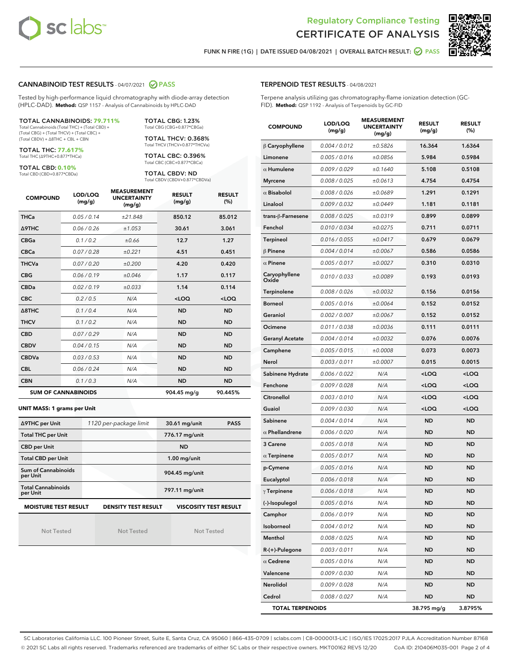



Π

FUNK N FIRE (1G) | DATE ISSUED 04/08/2021 | OVERALL BATCH RESULT:  $\bigcirc$  PASS

#### CANNABINOID TEST RESULTS - 04/07/2021 2 PASS

Tested by high-performance liquid chromatography with diode-array detection (HPLC-DAD). **Method:** QSP 1157 - Analysis of Cannabinoids by HPLC-DAD

TOTAL CANNABINOIDS: **79.711%**

Total Cannabinoids (Total THC) + (Total CBD) + (Total CBG) + (Total THCV) + (Total CBC) + (Total CBDV) + ∆8THC + CBL + CBN

TOTAL THC: **77.617%** Total THC (∆9THC+0.877\*THCa)

TOTAL CBD: **0.10%**

Total CBD (CBD+0.877\*CBDa)

TOTAL CBG: 1.23% Total CBG (CBG+0.877\*CBGa)

TOTAL THCV: 0.368% Total THCV (THCV+0.877\*THCVa)

TOTAL CBC: 0.396% Total CBC (CBC+0.877\*CBCa)

TOTAL CBDV: ND Total CBDV (CBDV+0.877\*CBDVa)

| <b>COMPOUND</b>  | LOD/LOQ<br>(mg/g)          | <b>MEASUREMENT</b><br><b>UNCERTAINTY</b><br>(mg/g) | <b>RESULT</b><br>(mg/g) | <b>RESULT</b><br>(%) |
|------------------|----------------------------|----------------------------------------------------|-------------------------|----------------------|
| <b>THCa</b>      | 0.05/0.14                  | ±21.848                                            | 850.12                  | 85.012               |
| <b>A9THC</b>     | 0.06/0.26                  | ±1.053                                             | 30.61                   | 3.061                |
| <b>CBGa</b>      | 0.1 / 0.2                  | ±0.66                                              | 12.7                    | 1.27                 |
| <b>CBCa</b>      | 0.07/0.28                  | ±0.221                                             | 4.51                    | 0.451                |
| <b>THCVa</b>     | 0.07/0.20                  | ±0.200                                             | 4.20                    | 0.420                |
| <b>CBG</b>       | 0.06/0.19                  | ±0.046                                             | 1.17                    | 0.117                |
| <b>CBDa</b>      | 0.02/0.19                  | ±0.033                                             | 1.14                    | 0.114                |
| <b>CBC</b>       | 0.2 / 0.5                  | N/A                                                | $<$ LOQ                 | $<$ LOQ              |
| $\triangle$ 8THC | 0.1/0.4                    | N/A                                                | <b>ND</b>               | <b>ND</b>            |
| <b>THCV</b>      | 0.1/0.2                    | N/A                                                | <b>ND</b>               | <b>ND</b>            |
| <b>CBD</b>       | 0.07/0.29                  | N/A                                                | <b>ND</b>               | <b>ND</b>            |
| <b>CBDV</b>      | 0.04 / 0.15                | N/A                                                | <b>ND</b>               | <b>ND</b>            |
| <b>CBDVa</b>     | 0.03/0.53                  | N/A                                                | <b>ND</b>               | <b>ND</b>            |
| <b>CBL</b>       | 0.06 / 0.24                | N/A                                                | <b>ND</b>               | <b>ND</b>            |
| <b>CBN</b>       | 0.1/0.3                    | N/A                                                | <b>ND</b>               | <b>ND</b>            |
|                  | <b>SUM OF CANNABINOIDS</b> |                                                    | 904.45 mg/g             | 90.445%              |

**UNIT MASS: 1 grams per Unit**

| ∆9THC per Unit                        | 1120 per-package limit     | 30.61 mg/unit<br><b>PASS</b> |  |
|---------------------------------------|----------------------------|------------------------------|--|
| <b>Total THC per Unit</b>             |                            | 776.17 mg/unit               |  |
| <b>CBD per Unit</b>                   |                            | <b>ND</b>                    |  |
| <b>Total CBD per Unit</b>             |                            | $1.00$ mg/unit               |  |
| Sum of Cannabinoids<br>per Unit       |                            | 904.45 mg/unit               |  |
| <b>Total Cannabinoids</b><br>per Unit |                            | 797.11 mg/unit               |  |
| <b>MOISTURE TEST RESULT</b>           | <b>DENSITY TEST RESULT</b> | <b>VISCOSITY TEST RESULT</b> |  |

Not Tested

Not Tested

Not Tested

TERPENOID TEST RESULTS - 04/08/2021

Terpene analysis utilizing gas chromatography-flame ionization detection (GC-FID). **Method:** QSP 1192 - Analysis of Terpenoids by GC-FID

| <b>COMPOUND</b>         | LOD/LOQ<br>(mg/g) | <b>MEASUREMENT</b><br>UNCERTAINTY<br>(mg/g) | <b>RESULT</b><br>(mg/g)                         | <b>RESULT</b><br>(%) |
|-------------------------|-------------------|---------------------------------------------|-------------------------------------------------|----------------------|
| B Caryophyllene         | 0.004 / 0.012     | ±0.5826                                     | 16.364                                          | 1.6364               |
| Limonene                | 0.005 / 0.016     | ±0.0856                                     | 5.984                                           | 0.5984               |
| $\alpha$ Humulene       | 0.009/0.029       | ±0.1640                                     | 5.108                                           | 0.5108               |
| <b>Myrcene</b>          | 0.008 / 0.025     | ±0.0613                                     | 4.754                                           | 0.4754               |
| $\alpha$ Bisabolol      | 0.008 / 0.026     | ±0.0689                                     | 1.291                                           | 0.1291               |
| Linalool                | 0.009 / 0.032     | ±0.0449                                     | 1.181                                           | 0.1181               |
| trans-β-Farnesene       | 0.008 / 0.025     | ±0.0319                                     | 0.899                                           | 0.0899               |
| Fenchol                 | 0.010 / 0.034     | ±0.0275                                     | 0.711                                           | 0.0711               |
| Terpineol               | 0.016 / 0.055     | ±0.0417                                     | 0.679                                           | 0.0679               |
| $\beta$ Pinene          | 0.004 / 0.014     | ±0.0067                                     | 0.586                                           | 0.0586               |
| $\alpha$ Pinene         | 0.005 / 0.017     | ±0.0027                                     | 0.310                                           | 0.0310               |
| Caryophyllene<br>Oxide  | 0.010 / 0.033     | ±0.0089                                     | 0.193                                           | 0.0193               |
| Terpinolene             | 0.008 / 0.026     | ±0.0032                                     | 0.156                                           | 0.0156               |
| <b>Borneol</b>          | 0.005 / 0.016     | ±0.0064                                     | 0.152                                           | 0.0152               |
| Geraniol                | 0.002 / 0.007     | ±0.0067                                     | 0.152                                           | 0.0152               |
| Ocimene                 | 0.011 / 0.038     | ±0.0036                                     | 0.111                                           | 0.0111               |
| <b>Geranyl Acetate</b>  | 0.004 / 0.014     | ±0.0032                                     | 0.076                                           | 0.0076               |
| Camphene                | 0.005 / 0.015     | ±0.0008                                     | 0.073                                           | 0.0073               |
| Nerol                   | 0.003 / 0.011     | ±0.0007                                     | 0.015                                           | 0.0015               |
| Sabinene Hydrate        | 0.006 / 0.022     | N/A                                         | <loq< th=""><th><loq< th=""></loq<></th></loq<> | <loq< th=""></loq<>  |
| Fenchone                | 0.009 / 0.028     | N/A                                         | <loq< th=""><th><loq< th=""></loq<></th></loq<> | <loq< th=""></loq<>  |
| Citronellol             | 0.003 / 0.010     | N/A                                         | <loq< th=""><th><loq< th=""></loq<></th></loq<> | <loq< th=""></loq<>  |
| Guaiol                  | 0.009 / 0.030     | N/A                                         | <loq< th=""><th><loq< th=""></loq<></th></loq<> | <loq< th=""></loq<>  |
| Sabinene                | 0.004 / 0.014     | N/A                                         | <b>ND</b>                                       | <b>ND</b>            |
| $\alpha$ Phellandrene   | 0.006 / 0.020     | N/A                                         | <b>ND</b>                                       | ND                   |
| 3 Carene                | 0.005 / 0.018     | N/A                                         | ND                                              | ND                   |
| $\alpha$ Terpinene      | 0.005 / 0.017     | N/A                                         | ND                                              | ND                   |
| p-Cymene                | 0.005 / 0.016     | N/A                                         | <b>ND</b>                                       | ND                   |
| Eucalyptol              | 0.006 / 0.018     | N/A                                         | ND                                              | ND                   |
| $\gamma$ Terpinene      | 0.006 / 0.018     | N/A                                         | ND                                              | ND                   |
| (-)-Isopulegol          | 0.005 / 0.016     | N/A                                         | ND                                              | ND                   |
| Camphor                 | 0.006 / 0.019     | N/A                                         | ND                                              | ND                   |
| Isoborneol              | 0.004 / 0.012     | N/A                                         | ND                                              | <b>ND</b>            |
| Menthol                 | 0.008 / 0.025     | N/A                                         | ND                                              | ND                   |
| R-(+)-Pulegone          | 0.003 / 0.011     | N/A                                         | ND                                              | ND                   |
| $\alpha$ Cedrene        | 0.005 / 0.016     | N/A                                         | ND                                              | ND                   |
| Valencene               | 0.009 / 0.030     | N/A                                         | ND                                              | ND                   |
| Nerolidol               | 0.009 / 0.028     | N/A                                         | ND                                              | ND                   |
| Cedrol                  | 0.008 / 0.027     | N/A                                         | ND                                              | ND                   |
| <b>TOTAL TERPENOIDS</b> |                   |                                             | 38.795 mg/g                                     | 3.8795%              |

SC Laboratories California LLC. 100 Pioneer Street, Suite E, Santa Cruz, CA 95060 | 866-435-0709 | sclabs.com | C8-0000013-LIC | ISO/IES 17025:2017 PJLA Accreditation Number 87168 © 2021 SC Labs all rights reserved. Trademarks referenced are trademarks of either SC Labs or their respective owners. MKT00162 REV5 12/20 CoA ID: 210406M035-001 Page 2 of 4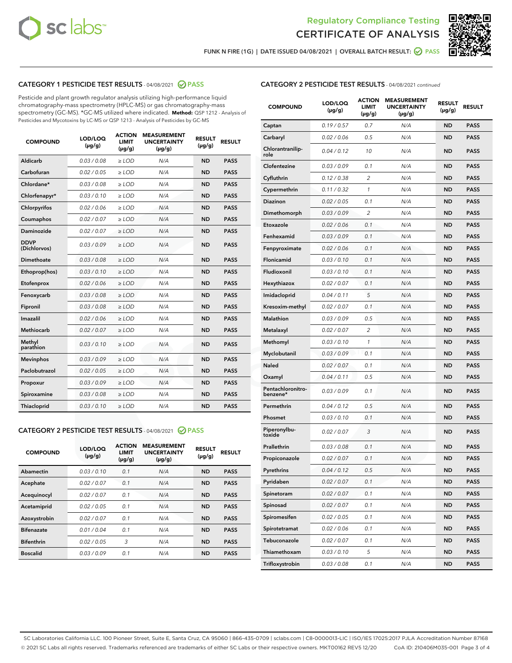



FUNK N FIRE (1G) | DATE ISSUED 04/08/2021 | OVERALL BATCH RESULT:  $\bigcirc$  PASS

## CATEGORY 1 PESTICIDE TEST RESULTS - 04/08/2021 2 PASS

Pesticide and plant growth regulator analysis utilizing high-performance liquid chromatography-mass spectrometry (HPLC-MS) or gas chromatography-mass spectrometry (GC-MS). \*GC-MS utilized where indicated. **Method:** QSP 1212 - Analysis of Pesticides and Mycotoxins by LC-MS or QSP 1213 - Analysis of Pesticides by GC-MS

| 0.03 / 0.08<br><b>ND</b><br><b>PASS</b><br>Aldicarb<br>$\ge$ LOD<br>N/A<br>Carbofuran<br>0.02 / 0.05<br>N/A<br>$\ge$ LOD<br><b>ND</b><br><b>PASS</b><br>Chlordane*<br>0.03 / 0.08<br>$\ge$ LOD<br>N/A<br><b>ND</b><br><b>PASS</b><br>Chlorfenapyr*<br>0.03/0.10<br>$\ge$ LOD<br>N/A<br><b>ND</b><br><b>PASS</b><br>0.02 / 0.06<br>N/A<br><b>ND</b><br><b>PASS</b><br>Chlorpyrifos<br>$\ge$ LOD<br>N/A<br>Coumaphos<br>0.02 / 0.07<br><b>ND</b><br><b>PASS</b><br>$\ge$ LOD<br>Daminozide<br>0.02 / 0.07<br>N/A<br><b>ND</b><br><b>PASS</b><br>$\ge$ LOD<br><b>DDVP</b><br>0.03/0.09<br>$>$ LOD<br>N/A<br><b>ND</b><br><b>PASS</b><br>(Dichlorvos)<br>Dimethoate<br>0.03/0.08<br>$\ge$ LOD<br>N/A<br><b>PASS</b><br><b>ND</b><br>0.03 / 0.10<br>N/A<br><b>ND</b><br><b>PASS</b><br>Ethoprop(hos)<br>$>$ LOD<br>0.02 / 0.06<br>N/A<br><b>ND</b><br><b>PASS</b><br>$\ge$ LOD<br>Etofenprox<br>Fenoxycarb<br>0.03/0.08<br>$\ge$ LOD<br>N/A<br><b>ND</b><br><b>PASS</b><br>0.03/0.08<br>$\ge$ LOD<br>N/A<br><b>ND</b><br><b>PASS</b><br>Fipronil<br>Imazalil<br>0.02 / 0.06<br>$>$ LOD<br>N/A<br><b>ND</b><br><b>PASS</b><br><b>Methiocarb</b><br>0.02 / 0.07<br>$\ge$ LOD<br>N/A<br><b>ND</b><br><b>PASS</b><br>Methyl<br>0.03/0.10<br>N/A<br><b>ND</b><br>$\ge$ LOD<br><b>PASS</b><br>parathion<br>0.03/0.09<br><b>Mevinphos</b><br>$\ge$ LOD<br>N/A<br><b>ND</b><br><b>PASS</b><br>Paclobutrazol<br>0.02 / 0.05<br>N/A<br>$>$ LOD<br><b>ND</b><br><b>PASS</b><br>0.03/0.09<br>N/A<br>$\ge$ LOD<br><b>ND</b><br><b>PASS</b><br>Propoxur<br>0.03 / 0.08<br><b>ND</b><br><b>PASS</b><br>Spiroxamine<br>$\ge$ LOD<br>N/A<br>Thiacloprid<br>0.03/0.10<br>N/A<br><b>ND</b><br><b>PASS</b><br>$\ge$ LOD | <b>COMPOUND</b> | LOD/LOQ<br>$(\mu g/g)$ | <b>ACTION</b><br><b>LIMIT</b><br>$(\mu g/g)$ | <b>MEASUREMENT</b><br><b>UNCERTAINTY</b><br>$(\mu g/g)$ | <b>RESULT</b><br>$(\mu g/g)$ | <b>RESULT</b> |
|------------------------------------------------------------------------------------------------------------------------------------------------------------------------------------------------------------------------------------------------------------------------------------------------------------------------------------------------------------------------------------------------------------------------------------------------------------------------------------------------------------------------------------------------------------------------------------------------------------------------------------------------------------------------------------------------------------------------------------------------------------------------------------------------------------------------------------------------------------------------------------------------------------------------------------------------------------------------------------------------------------------------------------------------------------------------------------------------------------------------------------------------------------------------------------------------------------------------------------------------------------------------------------------------------------------------------------------------------------------------------------------------------------------------------------------------------------------------------------------------------------------------------------------------------------------------------------------------------------------------------------------------------------------------------------------------|-----------------|------------------------|----------------------------------------------|---------------------------------------------------------|------------------------------|---------------|
|                                                                                                                                                                                                                                                                                                                                                                                                                                                                                                                                                                                                                                                                                                                                                                                                                                                                                                                                                                                                                                                                                                                                                                                                                                                                                                                                                                                                                                                                                                                                                                                                                                                                                                |                 |                        |                                              |                                                         |                              |               |
|                                                                                                                                                                                                                                                                                                                                                                                                                                                                                                                                                                                                                                                                                                                                                                                                                                                                                                                                                                                                                                                                                                                                                                                                                                                                                                                                                                                                                                                                                                                                                                                                                                                                                                |                 |                        |                                              |                                                         |                              |               |
|                                                                                                                                                                                                                                                                                                                                                                                                                                                                                                                                                                                                                                                                                                                                                                                                                                                                                                                                                                                                                                                                                                                                                                                                                                                                                                                                                                                                                                                                                                                                                                                                                                                                                                |                 |                        |                                              |                                                         |                              |               |
|                                                                                                                                                                                                                                                                                                                                                                                                                                                                                                                                                                                                                                                                                                                                                                                                                                                                                                                                                                                                                                                                                                                                                                                                                                                                                                                                                                                                                                                                                                                                                                                                                                                                                                |                 |                        |                                              |                                                         |                              |               |
|                                                                                                                                                                                                                                                                                                                                                                                                                                                                                                                                                                                                                                                                                                                                                                                                                                                                                                                                                                                                                                                                                                                                                                                                                                                                                                                                                                                                                                                                                                                                                                                                                                                                                                |                 |                        |                                              |                                                         |                              |               |
|                                                                                                                                                                                                                                                                                                                                                                                                                                                                                                                                                                                                                                                                                                                                                                                                                                                                                                                                                                                                                                                                                                                                                                                                                                                                                                                                                                                                                                                                                                                                                                                                                                                                                                |                 |                        |                                              |                                                         |                              |               |
|                                                                                                                                                                                                                                                                                                                                                                                                                                                                                                                                                                                                                                                                                                                                                                                                                                                                                                                                                                                                                                                                                                                                                                                                                                                                                                                                                                                                                                                                                                                                                                                                                                                                                                |                 |                        |                                              |                                                         |                              |               |
|                                                                                                                                                                                                                                                                                                                                                                                                                                                                                                                                                                                                                                                                                                                                                                                                                                                                                                                                                                                                                                                                                                                                                                                                                                                                                                                                                                                                                                                                                                                                                                                                                                                                                                |                 |                        |                                              |                                                         |                              |               |
|                                                                                                                                                                                                                                                                                                                                                                                                                                                                                                                                                                                                                                                                                                                                                                                                                                                                                                                                                                                                                                                                                                                                                                                                                                                                                                                                                                                                                                                                                                                                                                                                                                                                                                |                 |                        |                                              |                                                         |                              |               |
|                                                                                                                                                                                                                                                                                                                                                                                                                                                                                                                                                                                                                                                                                                                                                                                                                                                                                                                                                                                                                                                                                                                                                                                                                                                                                                                                                                                                                                                                                                                                                                                                                                                                                                |                 |                        |                                              |                                                         |                              |               |
|                                                                                                                                                                                                                                                                                                                                                                                                                                                                                                                                                                                                                                                                                                                                                                                                                                                                                                                                                                                                                                                                                                                                                                                                                                                                                                                                                                                                                                                                                                                                                                                                                                                                                                |                 |                        |                                              |                                                         |                              |               |
|                                                                                                                                                                                                                                                                                                                                                                                                                                                                                                                                                                                                                                                                                                                                                                                                                                                                                                                                                                                                                                                                                                                                                                                                                                                                                                                                                                                                                                                                                                                                                                                                                                                                                                |                 |                        |                                              |                                                         |                              |               |
|                                                                                                                                                                                                                                                                                                                                                                                                                                                                                                                                                                                                                                                                                                                                                                                                                                                                                                                                                                                                                                                                                                                                                                                                                                                                                                                                                                                                                                                                                                                                                                                                                                                                                                |                 |                        |                                              |                                                         |                              |               |
|                                                                                                                                                                                                                                                                                                                                                                                                                                                                                                                                                                                                                                                                                                                                                                                                                                                                                                                                                                                                                                                                                                                                                                                                                                                                                                                                                                                                                                                                                                                                                                                                                                                                                                |                 |                        |                                              |                                                         |                              |               |
|                                                                                                                                                                                                                                                                                                                                                                                                                                                                                                                                                                                                                                                                                                                                                                                                                                                                                                                                                                                                                                                                                                                                                                                                                                                                                                                                                                                                                                                                                                                                                                                                                                                                                                |                 |                        |                                              |                                                         |                              |               |
|                                                                                                                                                                                                                                                                                                                                                                                                                                                                                                                                                                                                                                                                                                                                                                                                                                                                                                                                                                                                                                                                                                                                                                                                                                                                                                                                                                                                                                                                                                                                                                                                                                                                                                |                 |                        |                                              |                                                         |                              |               |
|                                                                                                                                                                                                                                                                                                                                                                                                                                                                                                                                                                                                                                                                                                                                                                                                                                                                                                                                                                                                                                                                                                                                                                                                                                                                                                                                                                                                                                                                                                                                                                                                                                                                                                |                 |                        |                                              |                                                         |                              |               |
|                                                                                                                                                                                                                                                                                                                                                                                                                                                                                                                                                                                                                                                                                                                                                                                                                                                                                                                                                                                                                                                                                                                                                                                                                                                                                                                                                                                                                                                                                                                                                                                                                                                                                                |                 |                        |                                              |                                                         |                              |               |
|                                                                                                                                                                                                                                                                                                                                                                                                                                                                                                                                                                                                                                                                                                                                                                                                                                                                                                                                                                                                                                                                                                                                                                                                                                                                                                                                                                                                                                                                                                                                                                                                                                                                                                |                 |                        |                                              |                                                         |                              |               |
|                                                                                                                                                                                                                                                                                                                                                                                                                                                                                                                                                                                                                                                                                                                                                                                                                                                                                                                                                                                                                                                                                                                                                                                                                                                                                                                                                                                                                                                                                                                                                                                                                                                                                                |                 |                        |                                              |                                                         |                              |               |
|                                                                                                                                                                                                                                                                                                                                                                                                                                                                                                                                                                                                                                                                                                                                                                                                                                                                                                                                                                                                                                                                                                                                                                                                                                                                                                                                                                                                                                                                                                                                                                                                                                                                                                |                 |                        |                                              |                                                         |                              |               |

#### CATEGORY 2 PESTICIDE TEST RESULTS - 04/08/2021 @ PASS

| <b>COMPOUND</b>   | LOD/LOQ<br>$(\mu g/g)$ | <b>ACTION</b><br><b>LIMIT</b><br>$(\mu g/g)$ | <b>MEASUREMENT</b><br><b>UNCERTAINTY</b><br>$(\mu g/g)$ | <b>RESULT</b><br>$(\mu g/g)$ | <b>RESULT</b> |
|-------------------|------------------------|----------------------------------------------|---------------------------------------------------------|------------------------------|---------------|
| Abamectin         | 0.03/0.10              | 0.1                                          | N/A                                                     | <b>ND</b>                    | <b>PASS</b>   |
| Acephate          | 0.02/0.07              | 0.1                                          | N/A                                                     | <b>ND</b>                    | <b>PASS</b>   |
| Acequinocyl       | 0.02/0.07              | 0.1                                          | N/A                                                     | <b>ND</b>                    | <b>PASS</b>   |
| Acetamiprid       | 0.02/0.05              | 0.1                                          | N/A                                                     | <b>ND</b>                    | <b>PASS</b>   |
| Azoxystrobin      | 0.02/0.07              | 0.1                                          | N/A                                                     | <b>ND</b>                    | <b>PASS</b>   |
| <b>Bifenazate</b> | 0.01/0.04              | 0.1                                          | N/A                                                     | <b>ND</b>                    | <b>PASS</b>   |
| <b>Bifenthrin</b> | 0.02/0.05              | 3                                            | N/A                                                     | <b>ND</b>                    | <b>PASS</b>   |
| <b>Boscalid</b>   | 0.03/0.09              | 0.1                                          | N/A                                                     | <b>ND</b>                    | <b>PASS</b>   |

## CATEGORY 2 PESTICIDE TEST RESULTS - 04/08/2021 continued

| <b>COMPOUND</b>               | LOD/LOQ<br>(µg/g) | <b>ACTION</b><br>LIMIT<br>$(\mu g/g)$ | <b>MEASUREMENT</b><br><b>UNCERTAINTY</b><br>(µg/g) | <b>RESULT</b><br>(µg/g) | <b>RESULT</b> |
|-------------------------------|-------------------|---------------------------------------|----------------------------------------------------|-------------------------|---------------|
| Captan                        | 0.19/0.57         | 0.7                                   | N/A                                                | ND                      | <b>PASS</b>   |
| Carbaryl                      | 0.02 / 0.06       | 0.5                                   | N/A                                                | ND                      | <b>PASS</b>   |
| Chlorantranilip-<br>role      | 0.04 / 0.12       | 10                                    | N/A                                                | <b>ND</b>               | <b>PASS</b>   |
| Clofentezine                  | 0.03 / 0.09       | 0.1                                   | N/A                                                | <b>ND</b>               | <b>PASS</b>   |
| Cyfluthrin                    | 0.12 / 0.38       | 2                                     | N/A                                                | ND                      | <b>PASS</b>   |
| Cypermethrin                  | 0.11/0.32         | 1                                     | N/A                                                | ND                      | <b>PASS</b>   |
| Diazinon                      | 0.02 / 0.05       | 0.1                                   | N/A                                                | <b>ND</b>               | <b>PASS</b>   |
| Dimethomorph                  | 0.03 / 0.09       | 2                                     | N/A                                                | ND                      | <b>PASS</b>   |
| Etoxazole                     | 0.02 / 0.06       | 0.1                                   | N/A                                                | <b>ND</b>               | <b>PASS</b>   |
| Fenhexamid                    | 0.03 / 0.09       | 0.1                                   | N/A                                                | ND                      | <b>PASS</b>   |
| Fenpyroximate                 | 0.02 / 0.06       | 0.1                                   | N/A                                                | ND                      | <b>PASS</b>   |
| Flonicamid                    | 0.03 / 0.10       | 0.1                                   | N/A                                                | ND                      | <b>PASS</b>   |
| Fludioxonil                   | 0.03/0.10         | 0.1                                   | N/A                                                | <b>ND</b>               | <b>PASS</b>   |
| Hexythiazox                   | 0.02 / 0.07       | 0.1                                   | N/A                                                | ND                      | <b>PASS</b>   |
| Imidacloprid                  | 0.04 / 0.11       | 5                                     | N/A                                                | ND                      | <b>PASS</b>   |
| Kresoxim-methyl               | 0.02 / 0.07       | 0.1                                   | N/A                                                | ND                      | <b>PASS</b>   |
| Malathion                     | 0.03/0.09         | 0.5                                   | N/A                                                | ND                      | <b>PASS</b>   |
| Metalaxyl                     | 0.02 / 0.07       | $\overline{2}$                        | N/A                                                | ND                      | <b>PASS</b>   |
| Methomyl                      | 0.03 / 0.10       | 1                                     | N/A                                                | <b>ND</b>               | <b>PASS</b>   |
| Myclobutanil                  | 0.03/0.09         | 0.1                                   | N/A                                                | ND                      | <b>PASS</b>   |
| Naled                         | 0.02 / 0.07       | 0.1                                   | N/A                                                | ND                      | <b>PASS</b>   |
| Oxamyl                        | 0.04 / 0.11       | 0.5                                   | N/A                                                | <b>ND</b>               | <b>PASS</b>   |
| Pentachloronitro-<br>benzene* | 0.03 / 0.09       | 0.1                                   | N/A                                                | <b>ND</b>               | <b>PASS</b>   |
| Permethrin                    | 0.04 / 0.12       | 0.5                                   | N/A                                                | <b>ND</b>               | <b>PASS</b>   |
| Phosmet                       | 0.03 / 0.10       | 0.1                                   | N/A                                                | ND                      | <b>PASS</b>   |
| Piperonylbu-<br>toxide        | 0.02 / 0.07       | 3                                     | N/A                                                | <b>ND</b>               | <b>PASS</b>   |
| Prallethrin                   | 0.03 / 0.08       | 0.1                                   | N/A                                                | <b>ND</b>               | <b>PASS</b>   |
| Propiconazole                 | 0.02 / 0.07       | 0.1                                   | N/A                                                | ND                      | <b>PASS</b>   |
| Pyrethrins                    | 0.04 / 0.12       | 0.5                                   | N/A                                                | ND                      | PASS          |
| Pyridaben                     | 0.02 / 0.07       | 0.1                                   | N/A                                                | <b>ND</b>               | <b>PASS</b>   |
| Spinetoram                    | 0.02 / 0.07       | 0.1                                   | N/A                                                | <b>ND</b>               | <b>PASS</b>   |
| Spinosad                      | 0.02 / 0.07       | 0.1                                   | N/A                                                | <b>ND</b>               | <b>PASS</b>   |
| Spiromesifen                  | 0.02 / 0.05       | 0.1                                   | N/A                                                | <b>ND</b>               | <b>PASS</b>   |
| Spirotetramat                 | 0.02 / 0.06       | 0.1                                   | N/A                                                | <b>ND</b>               | <b>PASS</b>   |
| Tebuconazole                  | 0.02 / 0.07       | 0.1                                   | N/A                                                | <b>ND</b>               | <b>PASS</b>   |
| Thiamethoxam                  | 0.03 / 0.10       | 5                                     | N/A                                                | <b>ND</b>               | <b>PASS</b>   |
| Trifloxystrobin               | 0.03 / 0.08       | 0.1                                   | N/A                                                | <b>ND</b>               | <b>PASS</b>   |